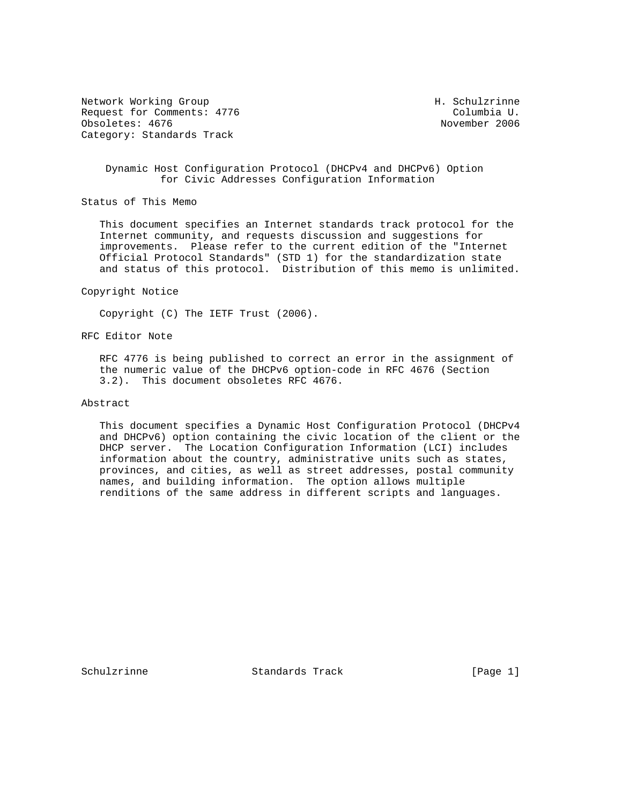Network Working Group Network Morking Group Network H. Schulzrinne Request for Comments: 4776 Columbia U.<br>
Obsoletes: 4676 Columbia U. Columbia U. Columbia U. Columbia U. Columbia U. Columbia U. Columbia U. Obsoletes: 4676 Category: Standards Track

## Dynamic Host Configuration Protocol (DHCPv4 and DHCPv6) Option for Civic Addresses Configuration Information

Status of This Memo

 This document specifies an Internet standards track protocol for the Internet community, and requests discussion and suggestions for improvements. Please refer to the current edition of the "Internet Official Protocol Standards" (STD 1) for the standardization state and status of this protocol. Distribution of this memo is unlimited.

### Copyright Notice

Copyright (C) The IETF Trust (2006).

### RFC Editor Note

 RFC 4776 is being published to correct an error in the assignment of the numeric value of the DHCPv6 option-code in RFC 4676 (Section 3.2). This document obsoletes RFC 4676.

### Abstract

 This document specifies a Dynamic Host Configuration Protocol (DHCPv4 and DHCPv6) option containing the civic location of the client or the DHCP server. The Location Configuration Information (LCI) includes information about the country, administrative units such as states, provinces, and cities, as well as street addresses, postal community names, and building information. The option allows multiple renditions of the same address in different scripts and languages.

Schulzrinne Standards Track [Page 1]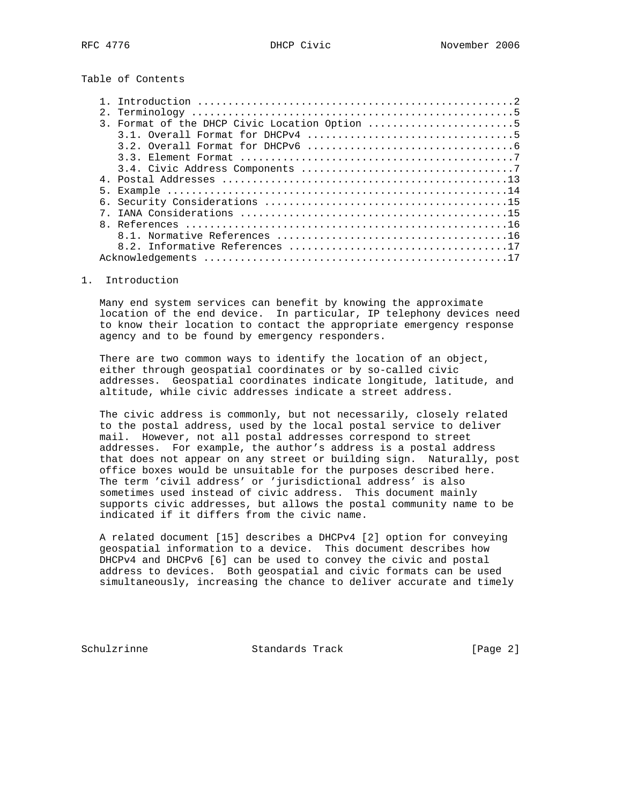Table of Contents

|    | 3. Format of the DHCP Civic Location Option 5 |
|----|-----------------------------------------------|
|    |                                               |
|    |                                               |
|    |                                               |
|    |                                               |
|    |                                               |
| 5. |                                               |
|    |                                               |
|    |                                               |
|    |                                               |
|    |                                               |
|    |                                               |
|    |                                               |
|    |                                               |

### 1. Introduction

 Many end system services can benefit by knowing the approximate location of the end device. In particular, IP telephony devices need to know their location to contact the appropriate emergency response agency and to be found by emergency responders.

 There are two common ways to identify the location of an object, either through geospatial coordinates or by so-called civic addresses. Geospatial coordinates indicate longitude, latitude, and altitude, while civic addresses indicate a street address.

 The civic address is commonly, but not necessarily, closely related to the postal address, used by the local postal service to deliver mail. However, not all postal addresses correspond to street addresses. For example, the author's address is a postal address that does not appear on any street or building sign. Naturally, post office boxes would be unsuitable for the purposes described here. The term 'civil address' or 'jurisdictional address' is also sometimes used instead of civic address. This document mainly supports civic addresses, but allows the postal community name to be indicated if it differs from the civic name.

 A related document [15] describes a DHCPv4 [2] option for conveying geospatial information to a device. This document describes how DHCPv4 and DHCPv6 [6] can be used to convey the civic and postal address to devices. Both geospatial and civic formats can be used simultaneously, increasing the chance to deliver accurate and timely

Schulzrinne **Standards Track** [Page 2]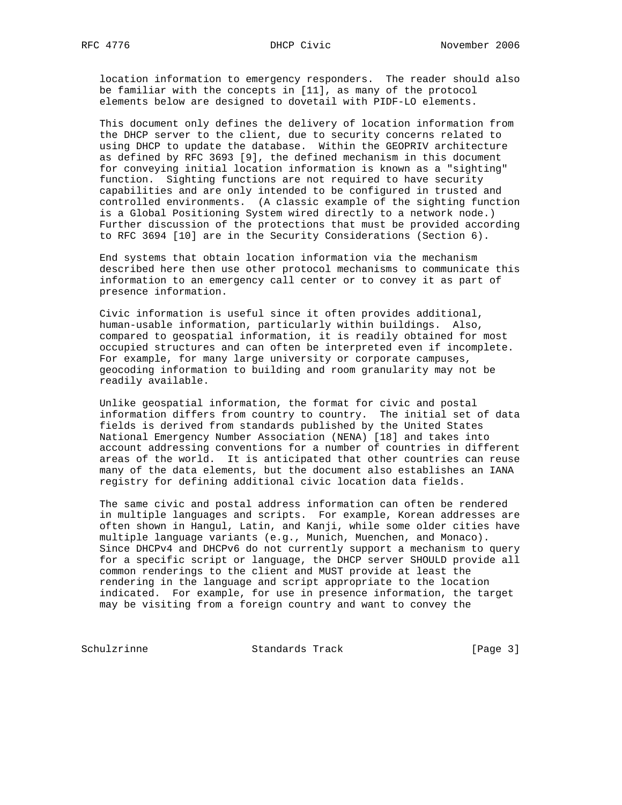location information to emergency responders. The reader should also be familiar with the concepts in [11], as many of the protocol elements below are designed to dovetail with PIDF-LO elements.

 This document only defines the delivery of location information from the DHCP server to the client, due to security concerns related to using DHCP to update the database. Within the GEOPRIV architecture as defined by RFC 3693 [9], the defined mechanism in this document for conveying initial location information is known as a "sighting" function. Sighting functions are not required to have security capabilities and are only intended to be configured in trusted and controlled environments. (A classic example of the sighting function is a Global Positioning System wired directly to a network node.) Further discussion of the protections that must be provided according to RFC 3694 [10] are in the Security Considerations (Section 6).

 End systems that obtain location information via the mechanism described here then use other protocol mechanisms to communicate this information to an emergency call center or to convey it as part of presence information.

 Civic information is useful since it often provides additional, human-usable information, particularly within buildings. Also, compared to geospatial information, it is readily obtained for most occupied structures and can often be interpreted even if incomplete. For example, for many large university or corporate campuses, geocoding information to building and room granularity may not be readily available.

 Unlike geospatial information, the format for civic and postal information differs from country to country. The initial set of data fields is derived from standards published by the United States National Emergency Number Association (NENA) [18] and takes into account addressing conventions for a number of countries in different areas of the world. It is anticipated that other countries can reuse many of the data elements, but the document also establishes an IANA registry for defining additional civic location data fields.

 The same civic and postal address information can often be rendered in multiple languages and scripts. For example, Korean addresses are often shown in Hangul, Latin, and Kanji, while some older cities have multiple language variants (e.g., Munich, Muenchen, and Monaco). Since DHCPv4 and DHCPv6 do not currently support a mechanism to query for a specific script or language, the DHCP server SHOULD provide all common renderings to the client and MUST provide at least the rendering in the language and script appropriate to the location indicated. For example, for use in presence information, the target may be visiting from a foreign country and want to convey the

Schulzrinne **Standards Track** [Page 3]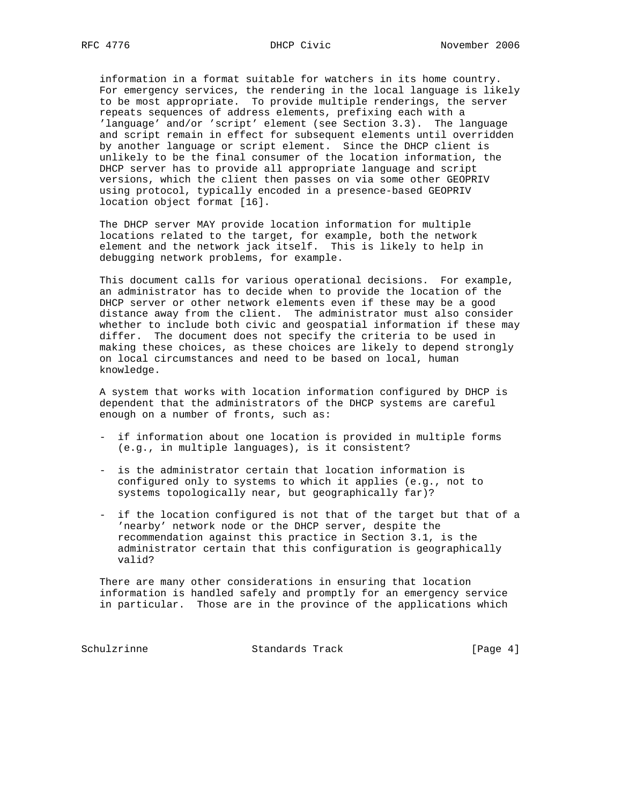information in a format suitable for watchers in its home country. For emergency services, the rendering in the local language is likely to be most appropriate. To provide multiple renderings, the server repeats sequences of address elements, prefixing each with a 'language' and/or 'script' element (see Section 3.3). The language and script remain in effect for subsequent elements until overridden by another language or script element. Since the DHCP client is unlikely to be the final consumer of the location information, the DHCP server has to provide all appropriate language and script versions, which the client then passes on via some other GEOPRIV using protocol, typically encoded in a presence-based GEOPRIV location object format [16].

 The DHCP server MAY provide location information for multiple locations related to the target, for example, both the network element and the network jack itself. This is likely to help in debugging network problems, for example.

 This document calls for various operational decisions. For example, an administrator has to decide when to provide the location of the DHCP server or other network elements even if these may be a good distance away from the client. The administrator must also consider whether to include both civic and geospatial information if these may differ. The document does not specify the criteria to be used in making these choices, as these choices are likely to depend strongly on local circumstances and need to be based on local, human knowledge.

 A system that works with location information configured by DHCP is dependent that the administrators of the DHCP systems are careful enough on a number of fronts, such as:

- if information about one location is provided in multiple forms (e.g., in multiple languages), is it consistent?
- is the administrator certain that location information is configured only to systems to which it applies (e.g., not to systems topologically near, but geographically far)?
- if the location configured is not that of the target but that of a 'nearby' network node or the DHCP server, despite the recommendation against this practice in Section 3.1, is the administrator certain that this configuration is geographically valid?

 There are many other considerations in ensuring that location information is handled safely and promptly for an emergency service in particular. Those are in the province of the applications which

Schulzrinne Standards Track [Page 4]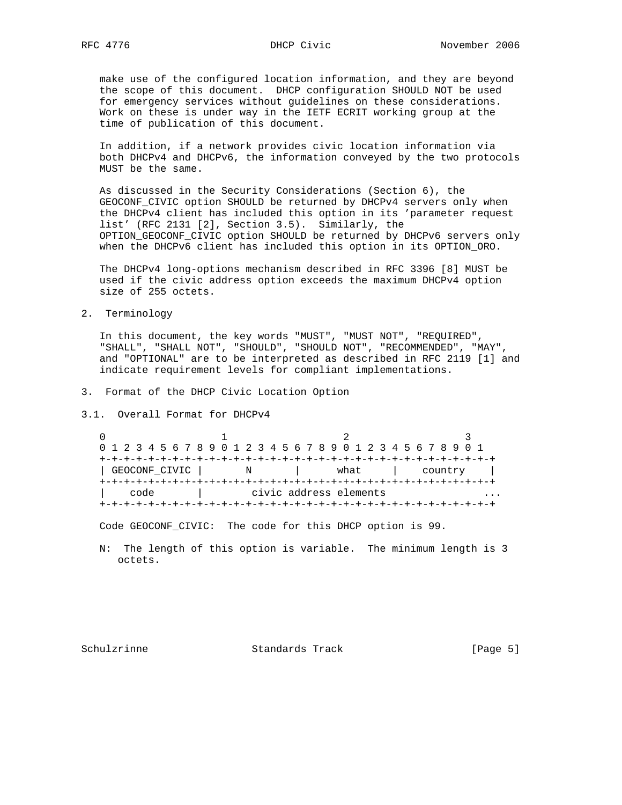make use of the configured location information, and they are beyond the scope of this document. DHCP configuration SHOULD NOT be used for emergency services without guidelines on these considerations. Work on these is under way in the IETF ECRIT working group at the time of publication of this document.

 In addition, if a network provides civic location information via both DHCPv4 and DHCPv6, the information conveyed by the two protocols MUST be the same.

 As discussed in the Security Considerations (Section 6), the GEOCONF\_CIVIC option SHOULD be returned by DHCPv4 servers only when the DHCPv4 client has included this option in its 'parameter request list' (RFC 2131 [2], Section 3.5). Similarly, the OPTION\_GEOCONF\_CIVIC option SHOULD be returned by DHCPv6 servers only when the DHCPv6 client has included this option in its OPTION\_ORO.

 The DHCPv4 long-options mechanism described in RFC 3396 [8] MUST be used if the civic address option exceeds the maximum DHCPv4 option size of 255 octets.

2. Terminology

 In this document, the key words "MUST", "MUST NOT", "REQUIRED", "SHALL", "SHALL NOT", "SHOULD", "SHOULD NOT", "RECOMMENDED", "MAY", and "OPTIONAL" are to be interpreted as described in RFC 2119 [1] and indicate requirement levels for compliant implementations.

- 3. Format of the DHCP Civic Location Option
- 3.1. Overall Format for DHCPv4

 $\begin{array}{ccccccc}\n0 & & & 1 & & & 2 & & 3\n\end{array}$  0 1 2 3 4 5 6 7 8 9 0 1 2 3 4 5 6 7 8 9 0 1 2 3 4 5 6 7 8 9 0 1 +-+-+-+-+-+-+-+-+-+-+-+-+-+-+-+-+-+-+-+-+-+-+-+-+-+-+-+-+-+-+-+-+ | GEOCONF\_CIVIC | N | what | country | +-+-+-+-+-+-+-+-+-+-+-+-+-+-+-+-+-+-+-+-+-+-+-+-+-+-+-+-+-+-+-+-+ | code | civic address elements ... +-+-+-+-+-+-+-+-+-+-+-+-+-+-+-+-+-+-+-+-+-+-+-+-+-+-+-+-+-+-+-+-+

Code GEOCONF\_CIVIC: The code for this DHCP option is 99.

 N: The length of this option is variable. The minimum length is 3 octets.

Schulzrinne Standards Track [Page 5]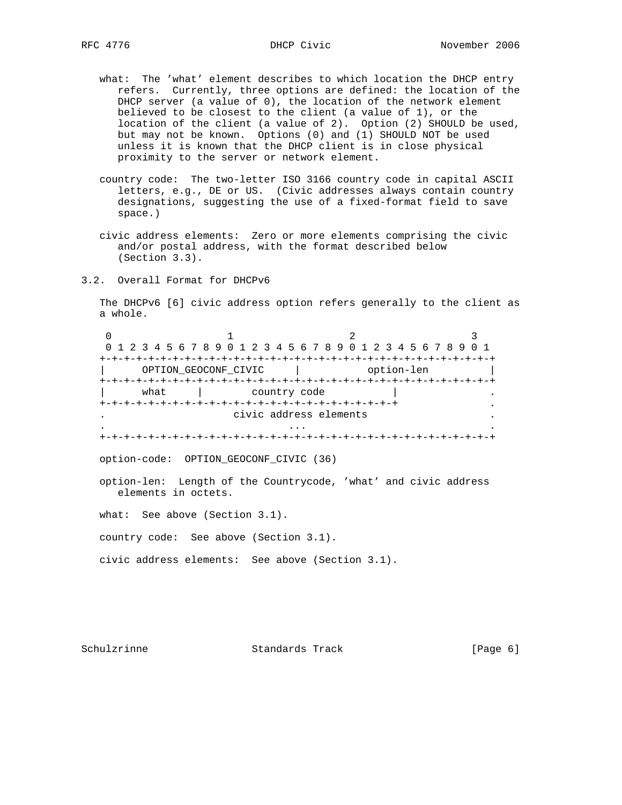- what: The 'what' element describes to which location the DHCP entry refers. Currently, three options are defined: the location of the DHCP server (a value of 0), the location of the network element believed to be closest to the client (a value of 1), or the location of the client (a value of 2). Option (2) SHOULD be used, but may not be known. Options (0) and (1) SHOULD NOT be used unless it is known that the DHCP client is in close physical proximity to the server or network element.
- country code: The two-letter ISO 3166 country code in capital ASCII letters, e.g., DE or US. (Civic addresses always contain country designations, suggesting the use of a fixed-format field to save space.)
- civic address elements: Zero or more elements comprising the civic and/or postal address, with the format described below (Section 3.3).
- 3.2. Overall Format for DHCPv6

 The DHCPv6 [6] civic address option refers generally to the client as a whole.

|      | 0 1 2 3 4 5 6 7 8 9 0 1 2 3 4 5 6 7 8 9 0 1 2 3 4 5 6 7 8 9 0 1 |                        |            |
|------|-----------------------------------------------------------------|------------------------|------------|
|      |                                                                 |                        |            |
|      | OPTION GEOCONF CIVIC                                            |                        | option-len |
|      |                                                                 |                        |            |
| what |                                                                 | country code           |            |
|      |                                                                 |                        |            |
|      |                                                                 | civic address elements |            |
|      |                                                                 |                        |            |
|      |                                                                 |                        |            |

option-code: OPTION\_GEOCONF\_CIVIC (36)

 option-len: Length of the Countrycode, 'what' and civic address elements in octets.

what: See above (Section 3.1).

country code: See above (Section 3.1).

civic address elements: See above (Section 3.1).

Schulzrinne **Standards Track** [Page 6]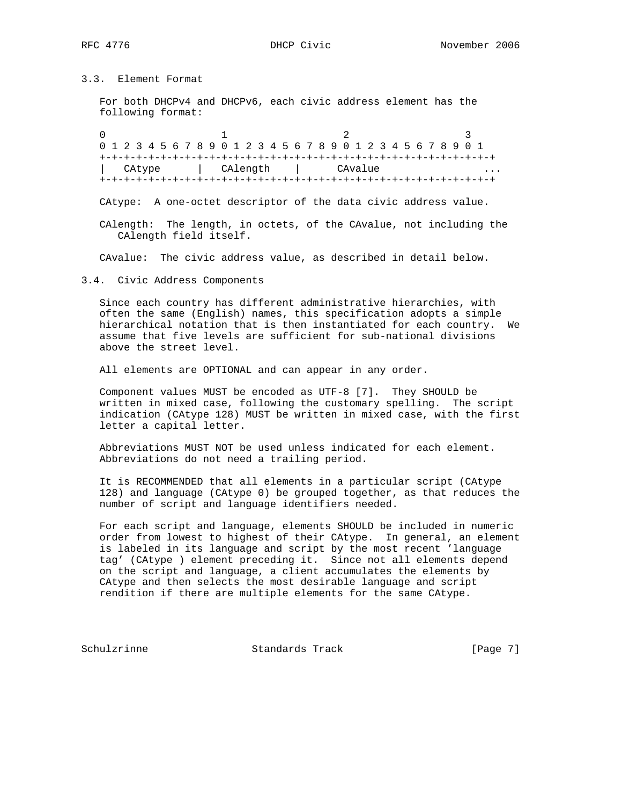3.3. Element Format

 For both DHCPv4 and DHCPv6, each civic address element has the following format:

0  $1$   $2$   $3$  0 1 2 3 4 5 6 7 8 9 0 1 2 3 4 5 6 7 8 9 0 1 2 3 4 5 6 7 8 9 0 1 +-+-+-+-+-+-+-+-+-+-+-+-+-+-+-+-+-+-+-+-+-+-+-+-+-+-+-+-+-+-+-+-+ CAtype | CAlength | CAvalue +-+-+-+-+-+-+-+-+-+-+-+-+-+-+-+-+-+-+-+-+-+-+-+-+-+-+-+-+-+-+-+-+

CAtype: A one-octet descriptor of the data civic address value.

 CAlength: The length, in octets, of the CAvalue, not including the CAlength field itself.

CAvalue: The civic address value, as described in detail below.

3.4. Civic Address Components

 Since each country has different administrative hierarchies, with often the same (English) names, this specification adopts a simple hierarchical notation that is then instantiated for each country. We assume that five levels are sufficient for sub-national divisions above the street level.

All elements are OPTIONAL and can appear in any order.

 Component values MUST be encoded as UTF-8 [7]. They SHOULD be written in mixed case, following the customary spelling. The script indication (CAtype 128) MUST be written in mixed case, with the first letter a capital letter.

 Abbreviations MUST NOT be used unless indicated for each element. Abbreviations do not need a trailing period.

 It is RECOMMENDED that all elements in a particular script (CAtype 128) and language (CAtype 0) be grouped together, as that reduces the number of script and language identifiers needed.

 For each script and language, elements SHOULD be included in numeric order from lowest to highest of their CAtype. In general, an element is labeled in its language and script by the most recent 'language tag' (CAtype ) element preceding it. Since not all elements depend on the script and language, a client accumulates the elements by CAtype and then selects the most desirable language and script rendition if there are multiple elements for the same CAtype.

Schulzrinne Standards Track [Page 7]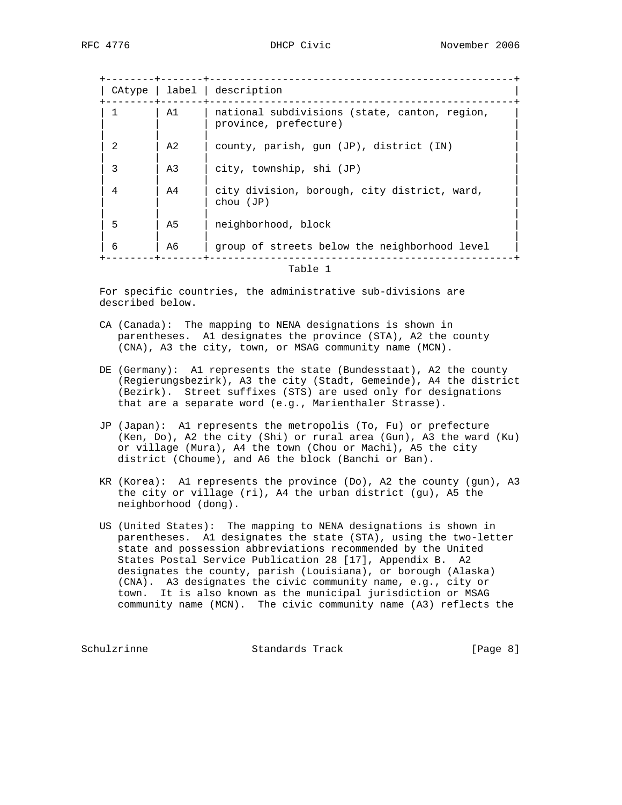| CAtype       |                | label   description                                                    |  |
|--------------|----------------|------------------------------------------------------------------------|--|
|              | A1             | national subdivisions (state, canton, region,<br>province, prefecture) |  |
|              | A <sub>2</sub> | county, parish, qun (JP), district (IN)                                |  |
| 3            | A3             | city, township, shi (JP)                                               |  |
| 4            | A4             | city division, borough, city district, ward,<br>chou (JP)              |  |
| 5            | A5             | neighborhood, block                                                    |  |
| 6            | A6             | group of streets below the neighborhood level                          |  |
| $-1$ $1$ $1$ |                |                                                                        |  |

Table 1

 For specific countries, the administrative sub-divisions are described below.

- CA (Canada): The mapping to NENA designations is shown in parentheses. A1 designates the province (STA), A2 the county (CNA), A3 the city, town, or MSAG community name (MCN).
- DE (Germany): A1 represents the state (Bundesstaat), A2 the county (Regierungsbezirk), A3 the city (Stadt, Gemeinde), A4 the district (Bezirk). Street suffixes (STS) are used only for designations that are a separate word (e.g., Marienthaler Strasse).
- JP (Japan): A1 represents the metropolis (To, Fu) or prefecture (Ken, Do), A2 the city (Shi) or rural area (Gun), A3 the ward (Ku) or village (Mura), A4 the town (Chou or Machi), A5 the city district (Choume), and A6 the block (Banchi or Ban).
- KR (Korea): A1 represents the province (Do), A2 the county (gun), A3 the city or village (ri), A4 the urban district (gu), A5 the neighborhood (dong).
- US (United States): The mapping to NENA designations is shown in parentheses. A1 designates the state (STA), using the two-letter state and possession abbreviations recommended by the United States Postal Service Publication 28 [17], Appendix B. A2 designates the county, parish (Louisiana), or borough (Alaska) (CNA). A3 designates the civic community name, e.g., city or town. It is also known as the municipal jurisdiction or MSAG community name (MCN). The civic community name (A3) reflects the

Schulzrinne Standards Track [Page 8]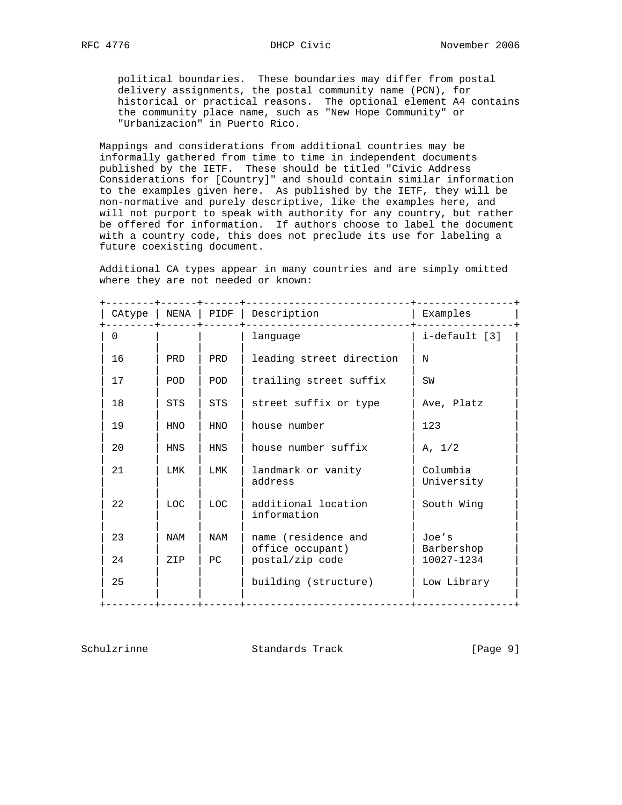political boundaries. These boundaries may differ from postal delivery assignments, the postal community name (PCN), for historical or practical reasons. The optional element A4 contains the community place name, such as "New Hope Community" or "Urbanizacion" in Puerto Rico.

 Mappings and considerations from additional countries may be informally gathered from time to time in independent documents published by the IETF. These should be titled "Civic Address Considerations for [Country]" and should contain similar information to the examples given here. As published by the IETF, they will be non-normative and purely descriptive, like the examples here, and will not purport to speak with authority for any country, but rather be offered for information. If authors choose to label the document with a country code, this does not preclude its use for labeling a future coexisting document.

 Additional CA types appear in many countries and are simply omitted where they are not needed or known:

| CAtype | NENA       | PIDF       | Description                         | Examples                 |
|--------|------------|------------|-------------------------------------|--------------------------|
| 0      |            |            | language                            | i-default [3]            |
| 16     | PRD        | PRD        | leading street direction            | N                        |
| 17     | <b>POD</b> | POD        | trailing street suffix              | SW                       |
| 18     | <b>STS</b> | <b>STS</b> | street suffix or type               | Ave, Platz               |
| 19     | <b>HNO</b> | <b>HNO</b> | house number                        | 123                      |
| 20     | <b>HNS</b> | <b>HNS</b> | house number suffix                 | A. 1/2                   |
| 21     | LMK        | LMK        | landmark or vanity<br>address       | Columbia<br>University   |
| 22     | LOC.       | LOC.       | additional location<br>information  | South Wing               |
| 23     | NAM        | NAM        | name (residence and                 | Joe's                    |
| 24     | ZIP        | PC         | office occupant)<br>postal/zip code | Barbershop<br>10027-1234 |
| 25     |            |            | building (structure)                | Low Library              |
|        |            |            |                                     |                          |

Schulzrinne Standards Track [Page 9]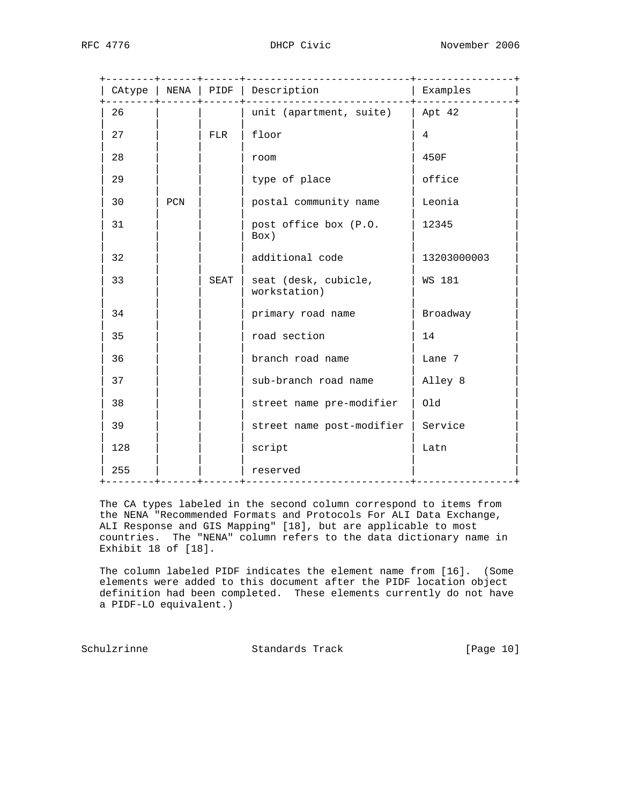|     |            |      | ----------------------------<br>CAtype   NENA   PIDF   Description<br>____________________ | ---------------+<br>Examples |
|-----|------------|------|--------------------------------------------------------------------------------------------|------------------------------|
| 26  |            |      | unit (apartment, suite) $ $ Apt 42                                                         |                              |
| 27  | <b>FLR</b> |      | floor                                                                                      | 4                            |
| 28  |            |      | room                                                                                       | 450F                         |
| 29  |            |      | type of place                                                                              | office                       |
| 30  | PCN        |      | postal community name                                                                      | Leonia                       |
| 31  |            |      | post office box (P.O.<br>Box)                                                              | 12345                        |
| 32  |            |      | additional code                                                                            | 13203000003                  |
| 33  |            | SEAT | seat (desk, cubicle,<br>workstation)                                                       | WS 181                       |
| 34  |            |      | primary road name                                                                          | Broadway                     |
| 35  |            |      | road section                                                                               | 14                           |
| 36  |            |      | branch road name                                                                           | Lane 7                       |
| 37  |            |      | sub-branch road name                                                                       | Alley 8                      |
| 38  |            |      | street name pre-modifier                                                                   | 01d                          |
| 39  |            |      | street name post-modifier                                                                  | Service                      |
| 128 |            |      | script                                                                                     | Latn                         |
| 255 |            |      | reserved<br>---+-----------------------------+---                                          |                              |

 The CA types labeled in the second column correspond to items from the NENA "Recommended Formats and Protocols For ALI Data Exchange, ALI Response and GIS Mapping" [18], but are applicable to most countries. The "NENA" column refers to the data dictionary name in Exhibit 18 of [18].

 The column labeled PIDF indicates the element name from [16]. (Some elements were added to this document after the PIDF location object definition had been completed. These elements currently do not have a PIDF-LO equivalent.)

Schulzrinne **Standards Track** [Page 10]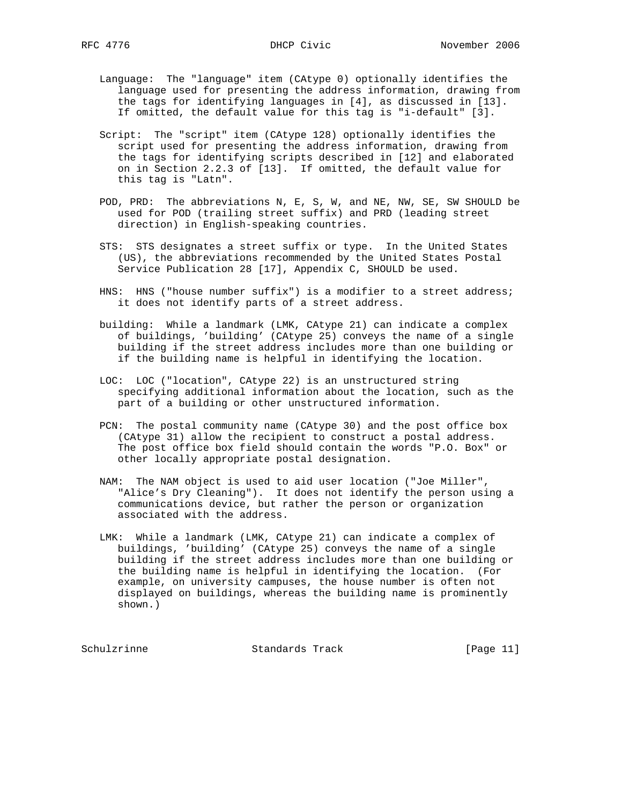- - Language: The "language" item (CAtype 0) optionally identifies the language used for presenting the address information, drawing from the tags for identifying languages in [4], as discussed in [13]. If omitted, the default value for this tag is "i-default" [3].
	- Script: The "script" item (CAtype 128) optionally identifies the script used for presenting the address information, drawing from the tags for identifying scripts described in [12] and elaborated on in Section 2.2.3 of [13]. If omitted, the default value for this tag is "Latn".
	- POD, PRD: The abbreviations N, E, S, W, and NE, NW, SE, SW SHOULD be used for POD (trailing street suffix) and PRD (leading street direction) in English-speaking countries.
	- STS: STS designates a street suffix or type. In the United States (US), the abbreviations recommended by the United States Postal Service Publication 28 [17], Appendix C, SHOULD be used.
	- HNS: HNS ("house number suffix") is a modifier to a street address; it does not identify parts of a street address.
	- building: While a landmark (LMK, CAtype 21) can indicate a complex of buildings, 'building' (CAtype 25) conveys the name of a single building if the street address includes more than one building or if the building name is helpful in identifying the location.
	- LOC: LOC ("location", CAtype 22) is an unstructured string specifying additional information about the location, such as the part of a building or other unstructured information.
	- PCN: The postal community name (CAtype 30) and the post office box (CAtype 31) allow the recipient to construct a postal address. The post office box field should contain the words "P.O. Box" or other locally appropriate postal designation.
	- NAM: The NAM object is used to aid user location ("Joe Miller", "Alice's Dry Cleaning"). It does not identify the person using a communications device, but rather the person or organization associated with the address.
	- LMK: While a landmark (LMK, CAtype 21) can indicate a complex of buildings, 'building' (CAtype 25) conveys the name of a single building if the street address includes more than one building or the building name is helpful in identifying the location. (For example, on university campuses, the house number is often not displayed on buildings, whereas the building name is prominently shown.)

Schulzrinne **Standards Track** [Page 11]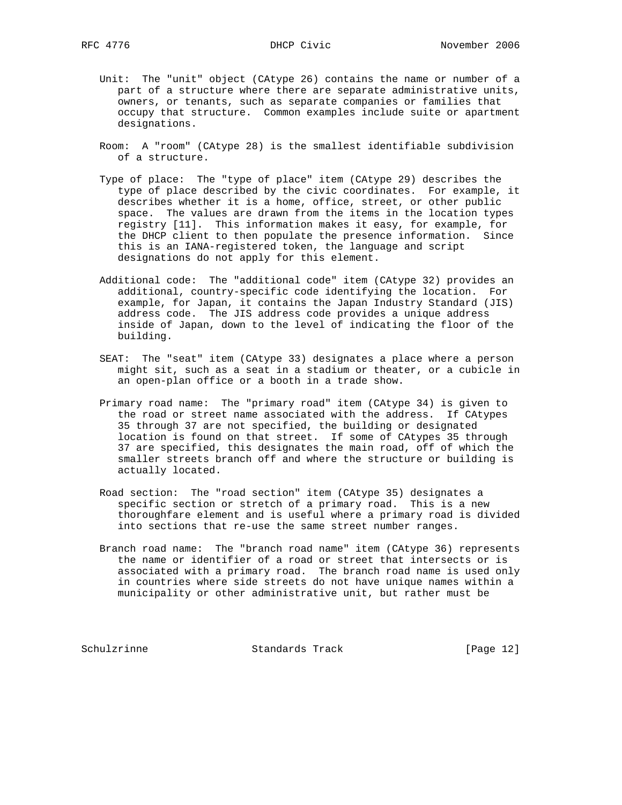- Unit: The "unit" object (CAtype 26) contains the name or number of a part of a structure where there are separate administrative units, owners, or tenants, such as separate companies or families that occupy that structure. Common examples include suite or apartment designations.
- Room: A "room" (CAtype 28) is the smallest identifiable subdivision of a structure.
- Type of place: The "type of place" item (CAtype 29) describes the type of place described by the civic coordinates. For example, it describes whether it is a home, office, street, or other public space. The values are drawn from the items in the location types registry [11]. This information makes it easy, for example, for the DHCP client to then populate the presence information. Since this is an IANA-registered token, the language and script designations do not apply for this element.
- Additional code: The "additional code" item (CAtype 32) provides an additional, country-specific code identifying the location. For example, for Japan, it contains the Japan Industry Standard (JIS) address code. The JIS address code provides a unique address inside of Japan, down to the level of indicating the floor of the building.
- SEAT: The "seat" item (CAtype 33) designates a place where a person might sit, such as a seat in a stadium or theater, or a cubicle in an open-plan office or a booth in a trade show.
- Primary road name: The "primary road" item (CAtype 34) is given to the road or street name associated with the address. If CAtypes 35 through 37 are not specified, the building or designated location is found on that street. If some of CAtypes 35 through 37 are specified, this designates the main road, off of which the smaller streets branch off and where the structure or building is actually located.
- Road section: The "road section" item (CAtype 35) designates a specific section or stretch of a primary road. This is a new thoroughfare element and is useful where a primary road is divided into sections that re-use the same street number ranges.
- Branch road name: The "branch road name" item (CAtype 36) represents the name or identifier of a road or street that intersects or is associated with a primary road. The branch road name is used only in countries where side streets do not have unique names within a municipality or other administrative unit, but rather must be

Schulzrinne Standards Track [Page 12]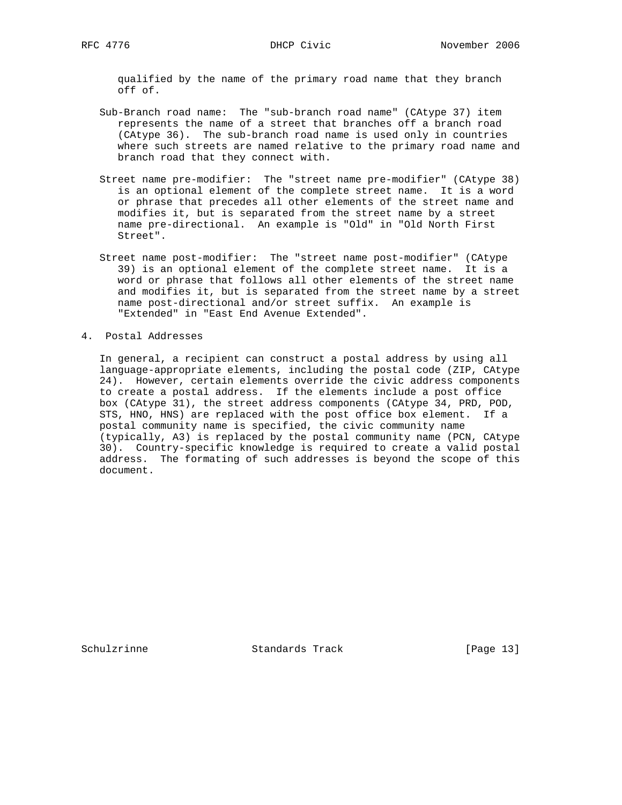qualified by the name of the primary road name that they branch off of.

- Sub-Branch road name: The "sub-branch road name" (CAtype 37) item represents the name of a street that branches off a branch road (CAtype 36). The sub-branch road name is used only in countries where such streets are named relative to the primary road name and branch road that they connect with.
- Street name pre-modifier: The "street name pre-modifier" (CAtype 38) is an optional element of the complete street name. It is a word or phrase that precedes all other elements of the street name and modifies it, but is separated from the street name by a street name pre-directional. An example is "Old" in "Old North First Street".
- Street name post-modifier: The "street name post-modifier" (CAtype 39) is an optional element of the complete street name. It is a word or phrase that follows all other elements of the street name and modifies it, but is separated from the street name by a street name post-directional and/or street suffix. An example is "Extended" in "East End Avenue Extended".
- 4. Postal Addresses

 In general, a recipient can construct a postal address by using all language-appropriate elements, including the postal code (ZIP, CAtype 24). However, certain elements override the civic address components to create a postal address. If the elements include a post office box (CAtype 31), the street address components (CAtype 34, PRD, POD, STS, HNO, HNS) are replaced with the post office box element. If a postal community name is specified, the civic community name (typically, A3) is replaced by the postal community name (PCN, CAtype 30). Country-specific knowledge is required to create a valid postal address. The formating of such addresses is beyond the scope of this document.

Schulzrinne Standards Track [Page 13]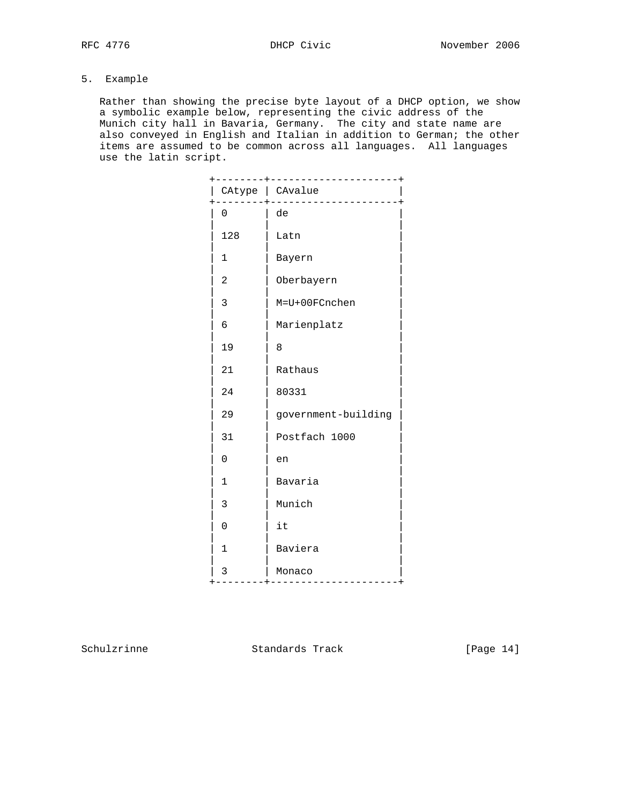# 5. Example

 Rather than showing the precise byte layout of a DHCP option, we show a symbolic example below, representing the civic address of the Munich city hall in Bavaria, Germany. The city and state name are also conveyed in English and Italian in addition to German; the other items are assumed to be common across all languages. All languages use the latin script.

|                | .+---------------------+<br>CAtype   CAvalue |
|----------------|----------------------------------------------|
| 0              | . _ _ _ _ _ _ _ _ _ .<br>de                  |
| 128            | Latn                                         |
| $\mathbf 1$    | Bayern                                       |
| 2              | Oberbayern                                   |
| 3              | M=U+00FCnchen                                |
| б              | Marienplatz                                  |
| 19             | 8                                            |
| 21             | Rathaus                                      |
| 24             | 80331                                        |
| 29             | government-building                          |
| 31             | Postfach 1000                                |
| $\mathbf 0$    | en                                           |
| $\mathbf{1}$   | Bavaria                                      |
| 3              | Munich                                       |
| 0              | it                                           |
| 1              | Baviera                                      |
| 3<br>----+---- | Monaco                                       |

Schulzrinne **Standards Track** [Page 14]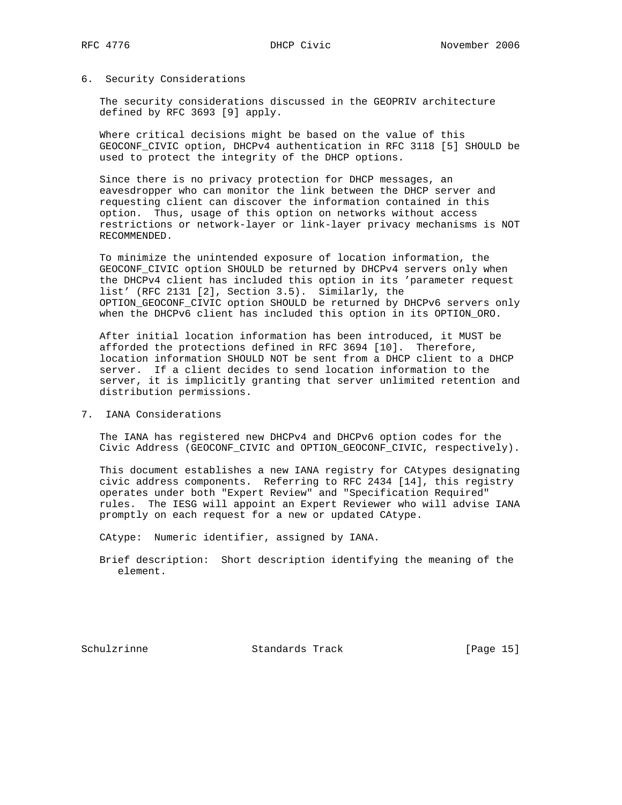### 6. Security Considerations

 The security considerations discussed in the GEOPRIV architecture defined by RFC 3693 [9] apply.

 Where critical decisions might be based on the value of this GEOCONF\_CIVIC option, DHCPv4 authentication in RFC 3118 [5] SHOULD be used to protect the integrity of the DHCP options.

 Since there is no privacy protection for DHCP messages, an eavesdropper who can monitor the link between the DHCP server and requesting client can discover the information contained in this option. Thus, usage of this option on networks without access restrictions or network-layer or link-layer privacy mechanisms is NOT RECOMMENDED.

 To minimize the unintended exposure of location information, the GEOCONF\_CIVIC option SHOULD be returned by DHCPv4 servers only when the DHCPv4 client has included this option in its 'parameter request list' (RFC 2131 [2], Section 3.5). Similarly, the OPTION\_GEOCONF\_CIVIC option SHOULD be returned by DHCPv6 servers only when the DHCPv6 client has included this option in its OPTION\_ORO.

 After initial location information has been introduced, it MUST be afforded the protections defined in RFC 3694 [10]. Therefore, location information SHOULD NOT be sent from a DHCP client to a DHCP server. If a client decides to send location information to the server, it is implicitly granting that server unlimited retention and distribution permissions.

7. IANA Considerations

 The IANA has registered new DHCPv4 and DHCPv6 option codes for the Civic Address (GEOCONF\_CIVIC and OPTION\_GEOCONF\_CIVIC, respectively).

 This document establishes a new IANA registry for CAtypes designating civic address components. Referring to RFC 2434 [14], this registry operates under both "Expert Review" and "Specification Required" rules. The IESG will appoint an Expert Reviewer who will advise IANA promptly on each request for a new or updated CAtype.

CAtype: Numeric identifier, assigned by IANA.

 Brief description: Short description identifying the meaning of the element.

Schulzrinne Standards Track [Page 15]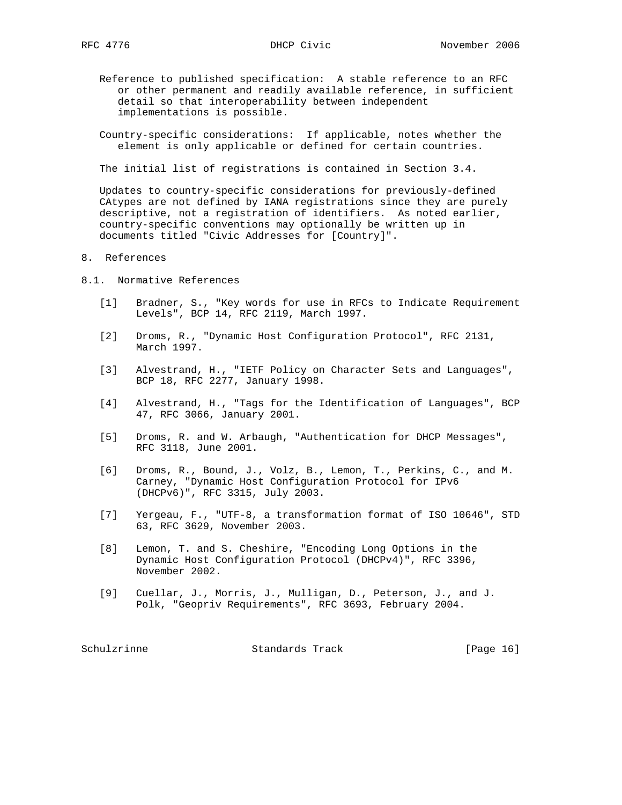- Reference to published specification: A stable reference to an RFC or other permanent and readily available reference, in sufficient detail so that interoperability between independent implementations is possible.
- Country-specific considerations: If applicable, notes whether the element is only applicable or defined for certain countries.

The initial list of registrations is contained in Section 3.4.

 Updates to country-specific considerations for previously-defined CAtypes are not defined by IANA registrations since they are purely descriptive, not a registration of identifiers. As noted earlier, country-specific conventions may optionally be written up in documents titled "Civic Addresses for [Country]".

### 8. References

- 8.1. Normative References
	- [1] Bradner, S., "Key words for use in RFCs to Indicate Requirement Levels", BCP 14, RFC 2119, March 1997.
	- [2] Droms, R., "Dynamic Host Configuration Protocol", RFC 2131, March 1997.
	- [3] Alvestrand, H., "IETF Policy on Character Sets and Languages", BCP 18, RFC 2277, January 1998.
	- [4] Alvestrand, H., "Tags for the Identification of Languages", BCP 47, RFC 3066, January 2001.
	- [5] Droms, R. and W. Arbaugh, "Authentication for DHCP Messages", RFC 3118, June 2001.
	- [6] Droms, R., Bound, J., Volz, B., Lemon, T., Perkins, C., and M. Carney, "Dynamic Host Configuration Protocol for IPv6 (DHCPv6)", RFC 3315, July 2003.
	- [7] Yergeau, F., "UTF-8, a transformation format of ISO 10646", STD 63, RFC 3629, November 2003.
	- [8] Lemon, T. and S. Cheshire, "Encoding Long Options in the Dynamic Host Configuration Protocol (DHCPv4)", RFC 3396, November 2002.
	- [9] Cuellar, J., Morris, J., Mulligan, D., Peterson, J., and J. Polk, "Geopriv Requirements", RFC 3693, February 2004.

Schulzrinne Standards Track [Page 16]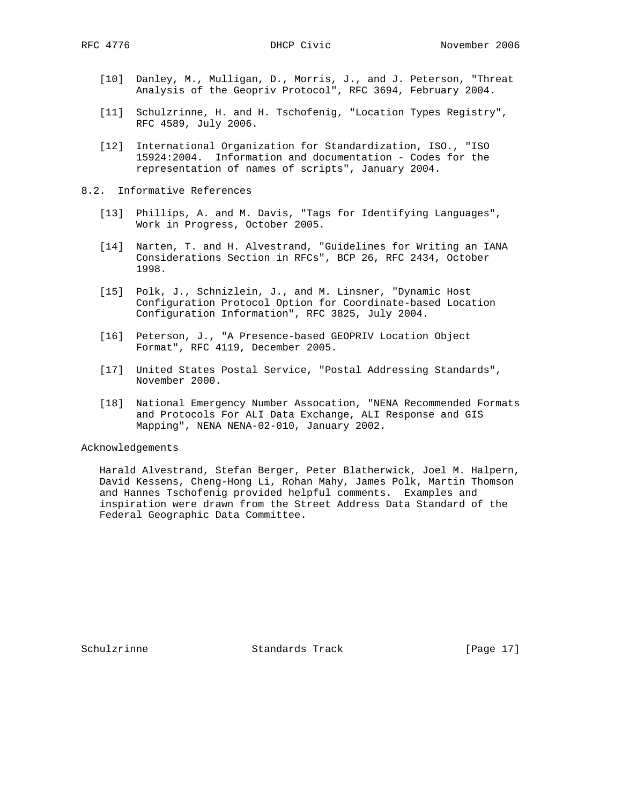- [10] Danley, M., Mulligan, D., Morris, J., and J. Peterson, "Threat Analysis of the Geopriv Protocol", RFC 3694, February 2004.
- [11] Schulzrinne, H. and H. Tschofenig, "Location Types Registry", RFC 4589, July 2006.
- [12] International Organization for Standardization, ISO., "ISO 15924:2004. Information and documentation - Codes for the representation of names of scripts", January 2004.
- 8.2. Informative References
	- [13] Phillips, A. and M. Davis, "Tags for Identifying Languages", Work in Progress, October 2005.
	- [14] Narten, T. and H. Alvestrand, "Guidelines for Writing an IANA Considerations Section in RFCs", BCP 26, RFC 2434, October 1998.
	- [15] Polk, J., Schnizlein, J., and M. Linsner, "Dynamic Host Configuration Protocol Option for Coordinate-based Location Configuration Information", RFC 3825, July 2004.
	- [16] Peterson, J., "A Presence-based GEOPRIV Location Object Format", RFC 4119, December 2005.
	- [17] United States Postal Service, "Postal Addressing Standards", November 2000.
	- [18] National Emergency Number Assocation, "NENA Recommended Formats and Protocols For ALI Data Exchange, ALI Response and GIS Mapping", NENA NENA-02-010, January 2002.

Acknowledgements

 Harald Alvestrand, Stefan Berger, Peter Blatherwick, Joel M. Halpern, David Kessens, Cheng-Hong Li, Rohan Mahy, James Polk, Martin Thomson and Hannes Tschofenig provided helpful comments. Examples and inspiration were drawn from the Street Address Data Standard of the Federal Geographic Data Committee.

Schulzrinne **Standards Track** [Page 17]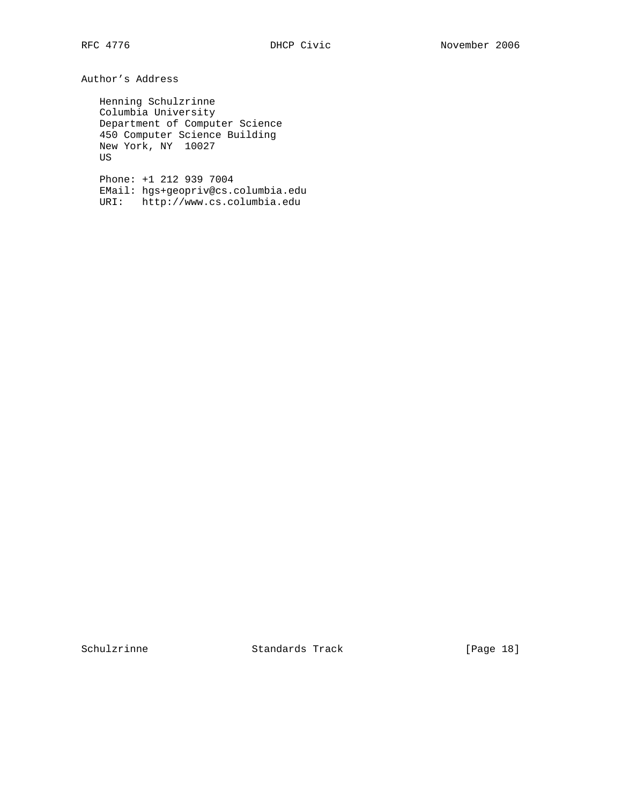Author's Address

 Henning Schulzrinne Columbia University Department of Computer Science 450 Computer Science Building New York, NY 10027 US

 Phone: +1 212 939 7004 EMail: hgs+geopriv@cs.columbia.edu URI: http://www.cs.columbia.edu

Schulzrinne **Standards Track** [Page 18]